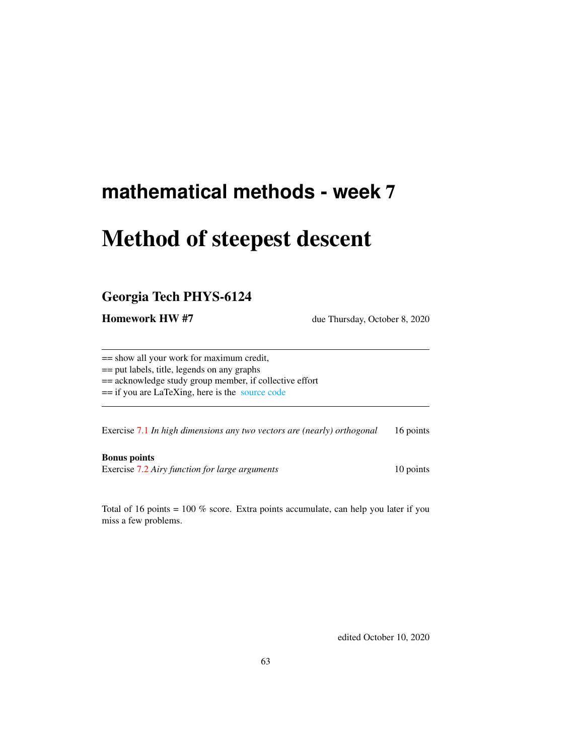# **mathematical methods - week** 7

# Method of steepest descent

# Georgia Tech PHYS-6124

Homework HW #7 due Thursday, October 8, 2020

== show all your work for maximum credit,

== put labels, title, legends on any graphs

== acknowledge study group member, if collective effort

== if you are LaTeXing, here is the [source code](http://chaosbook.org/~predrag/courses/PHYS-6124-20/exerWeek7.tex)

Exercise [7.1](#page-5-0) *In high dimensions any two vectors are (nearly) orthogonal* 16 points

Bonus points Exercise [7.2](#page-7-0) *Airy function for large arguments* 10 points

Total of 16 points = 100 % score. Extra points accumulate, can help you later if you miss a few problems.

edited October 10, 2020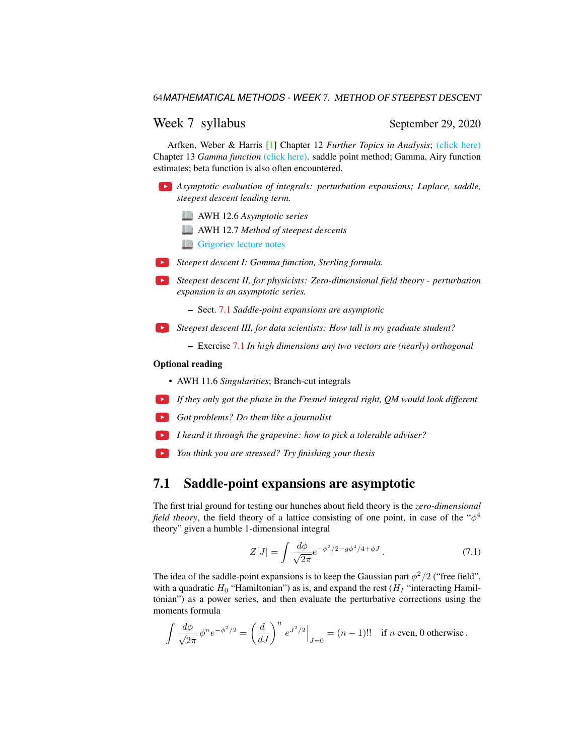### Week 7 syllabus September 29, 2020

Arfken, Weber & Harris [\[1\]](#page-4-0) Chapter 12 *Further Topics in Analysis*; [\(click here\)](http://ChaosBook.org/library/ArWeHa13chap12FurtherTopsAnalysis.pdf) Chapter 13 *Gamma function* [\(click here\).](http://ChaosBook.org/library/ArWeHa13chap13.pdf) saddle point method; Gamma, Airy function estimates; beta function is also often encountered.

- *Asymptotic evaluation of integrals: perturbation expansions; Laplace, saddle, steepest descent leading term.*
	- AWH 12.6 *Asymptotic series*

AWH 12.7 *Method of steepest descents*

**[Grigoriev lecture notes](http://ChaosBook.org/~predrag/courses/PHYS-6124-20/ln13.pdf)** 

*Steepest descent I: Gamma function, Sterling formula.*

*Steepest descent II, for physicists: Zero-dimensional field theory - perturbation expansion is an asymptotic series.*

– Sect. [7.1](#page-1-0) *Saddle-point expansions are asymptotic*

- *Steepest descent III, for data scientists: How tall is my graduate student?*
	- Exercise [7.1](#page-5-0) *In high dimensions any two vectors are (nearly) orthogonal*

### Optional reading

- AWH 11.6 *Singularities*; Branch-cut integrals
- *If they only got the phase in the Fresnel integral right, QM would look different*
- *Got problems? Do them like a journalist*
- *I heard it through the grapevine: how to pick a tolerable adviser?*
- *You think you are stressed? Try finishing your thesis*

# <span id="page-1-0"></span>7.1 Saddle-point expansions are asymptotic

The first trial ground for testing our hunches about field theory is the *zero-dimensional field theory*, the field theory of a lattice consisting of one point, in case of the " $\phi^4$ theory" given a humble 1-dimensional integral

<span id="page-1-1"></span>
$$
Z[J] = \int \frac{d\phi}{\sqrt{2\pi}} e^{-\phi^2/2 - g\phi^4/4 + \phi J}.
$$
 (7.1)

The idea of the saddle-point expansions is to keep the Gaussian part  $\phi^2/2$  ("free field", with a quadratic  $H_0$  "Hamiltonian") as is, and expand the rest ( $H_I$  "interacting Hamiltonian") as a power series, and then evaluate the perturbative corrections using the moments formula

$$
\int \frac{d\phi}{\sqrt{2\pi}} \phi^n e^{-\phi^2/2} = \left(\frac{d}{dJ}\right)^n e^{J^2/2}\Big|_{J=0} = (n-1)!! \quad \text{if } n \text{ even, } 0 \text{ otherwise.}
$$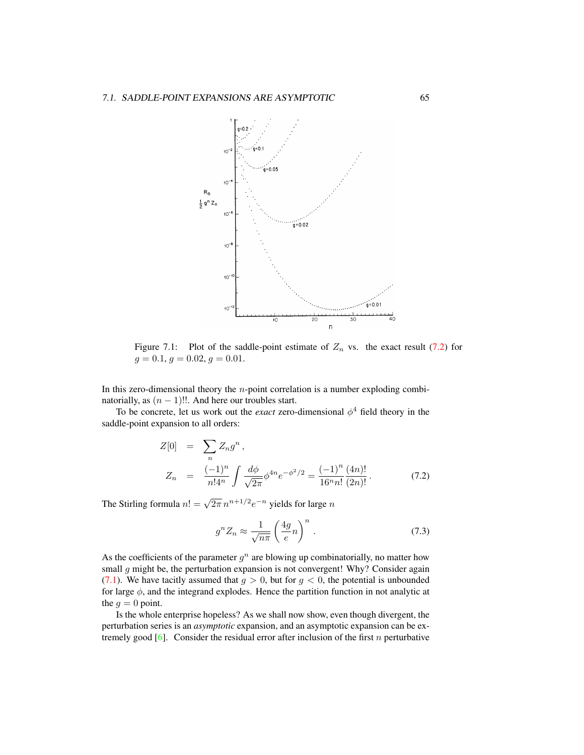

<span id="page-2-2"></span>Figure 7.1: Plot of the saddle-point estimate of  $Z_n$  vs. the exact result [\(7.2\)](#page-2-0) for  $g = 0.1, g = 0.02, g = 0.01.$ 

In this zero-dimensional theory the  $n$ -point correlation is a number exploding combinatorially, as  $(n - 1)$ !!. And here our troubles start.

To be concrete, let us work out the *exact* zero-dimensional  $\phi^4$  field theory in the saddle-point expansion to all orders:

<span id="page-2-0"></span>
$$
Z[0] = \sum_{n} Z_n g^n,
$$
  
\n
$$
Z_n = \frac{(-1)^n}{n! 4^n} \int \frac{d\phi}{\sqrt{2\pi}} \phi^{4n} e^{-\phi^2/2} = \frac{(-1)^n}{16^n n!} \frac{(4n)!}{(2n)!}.
$$
\n(7.2)

The Stirling formula  $n! = \sqrt{2\pi} n^{n+1/2} e^{-n}$  yields for large  $n$ 

<span id="page-2-1"></span>
$$
g^n Z_n \approx \frac{1}{\sqrt{n\pi}} \left(\frac{4g}{e}n\right)^n.
$$
 (7.3)

As the coefficients of the parameter  $g^n$  are blowing up combinatorially, no matter how small g might be, the perturbation expansion is not convergent! Why? Consider again [\(7.1\)](#page-1-1). We have tacitly assumed that  $g > 0$ , but for  $g < 0$ , the potential is unbounded for large  $\phi$ , and the integrand explodes. Hence the partition function in not analytic at the  $g = 0$  point.

Is the whole enterprise hopeless? As we shall now show, even though divergent, the perturbation series is an *asymptotic* expansion, and an asymptotic expansion can be extremely good  $[6]$ . Consider the residual error after inclusion of the first *n* perturbative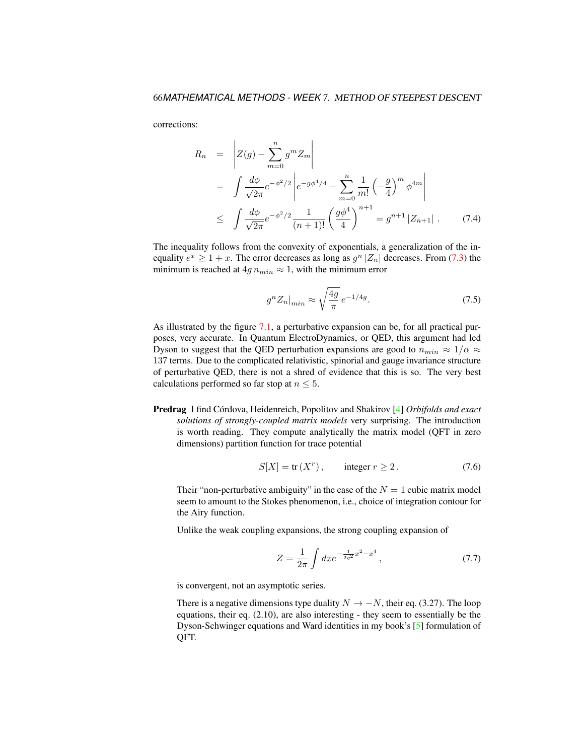corrections:

$$
R_n = \left| Z(g) - \sum_{m=0}^n g^m Z_m \right|
$$
  
=  $\int \frac{d\phi}{\sqrt{2\pi}} e^{-\phi^2/2} \left| e^{-g\phi^4/4} - \sum_{m=0}^n \frac{1}{m!} \left( -\frac{g}{4} \right)^m \phi^{4m} \right|$   
 $\leq \int \frac{d\phi}{\sqrt{2\pi}} e^{-\phi^2/2} \frac{1}{(n+1)!} \left( \frac{g\phi^4}{4} \right)^{n+1} = g^{n+1} |Z_{n+1}|.$  (7.4)

The inequality follows from the convexity of exponentials, a generalization of the inequality  $e^x \ge 1 + x$ . The error decreases as long as  $g^n |Z_n|$  decreases. From [\(7.3\)](#page-2-1) the minimum is reached at  $4g n_{min} \approx 1$ , with the minimum error

$$
g^n Z_n|_{min} \approx \sqrt{\frac{4g}{\pi}} \, e^{-1/4g}.\tag{7.5}
$$

As illustrated by the figure [7.1,](#page-2-2) a perturbative expansion can be, for all practical purposes, very accurate. In Quantum ElectroDynamics, or QED, this argument had led Dyson to suggest that the QED perturbation expansions are good to  $n_{min} \approx 1/\alpha \approx$ 137 terms. Due to the complicated relativistic, spinorial and gauge invariance structure of perturbative QED, there is not a shred of evidence that this is so. The very best calculations performed so far stop at  $n \leq 5$ .

Predrag I find Córdova, Heidenreich, Popolitov and Shakirov [\[4\]](#page-5-2) *Orbifolds and exact solutions of strongly-coupled matrix models* very surprising. The introduction is worth reading. They compute analytically the matrix model (QFT in zero dimensions) partition function for trace potential

$$
S[X] = \text{tr}(X^r), \qquad \text{integer } r \ge 2. \tag{7.6}
$$

Their "non-perturbative ambiguity" in the case of the  $N = 1$  cubic matrix model seem to amount to the Stokes phenomenon, i.e., choice of integration contour for the Airy function.

Unlike the weak coupling expansions, the strong coupling expansion of

$$
Z = \frac{1}{2\pi} \int dx e^{-\frac{1}{2g^2}x^2 - x^4},\tag{7.7}
$$

is convergent, not an asymptotic series.

There is a negative dimensions type duality  $N \rightarrow -N$ , their eq. (3.27). The loop equations, their eq. (2.10), are also interesting - they seem to essentially be the Dyson-Schwinger equations and Ward identities in my book's [\[5\]](#page-5-3) formulation of QFT.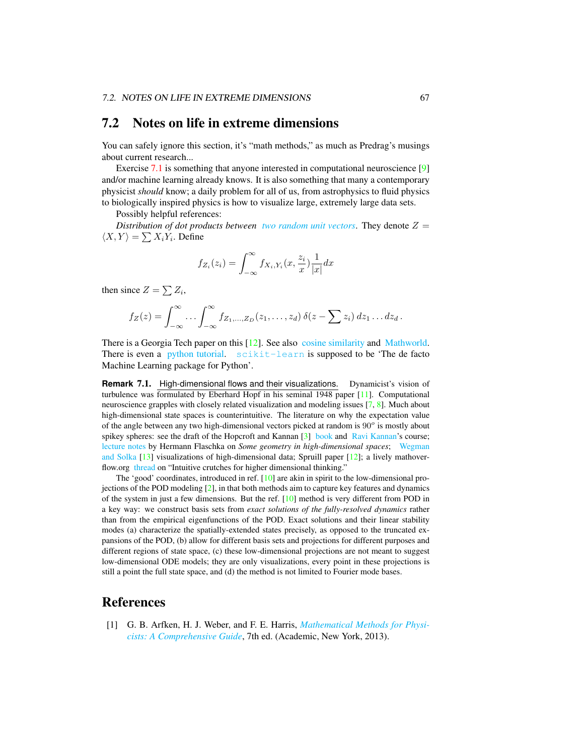# 7.2 Notes on life in extreme dimensions

You can safely ignore this section, it's "math methods," as much as Predrag's musings about current research...

Exercise [7.1](#page-5-0) is something that anyone interested in computational neuroscience [\[9\]](#page-5-4) and/or machine learning already knows. It is also something that many a contemporary physicist *should* know; a daily problem for all of us, from astrophysics to fluid physics to biologically inspired physics is how to visualize large, extremely large data sets.

Possibly helpful references:

*Distribution of dot products between [two random unit vectors](http://stats.stackexchange.com/questions/85916/distribution-of-dot-products-between-two-random-unit-vectors-in-mathbbrd).* They denote  $Z =$  $\langle X, Y \rangle = \sum X_i Y_i$ . Define

$$
f_{Z_i}(z_i) = \int_{-\infty}^{\infty} f_{X_i, Y_i}(x, \frac{z_i}{x}) \frac{1}{|x|} dx
$$

then since  $Z = \sum Z_i$ ,

$$
f_Z(z)=\int_{-\infty}^{\infty}\ldots\int_{-\infty}^{\infty}f_{Z_1,\ldots,Z_D}(z_1,\ldots,z_d)\,\delta(z-\sum z_i)\,dz_1\ldots dz_d\,.
$$

There is a Georgia Tech paper on this [\[12\]](#page-5-5). See also [cosine similarity](http://en.wikipedia.org/wiki/Cosine_similarity) and [Mathworld.](http://mathworld.wolfram.com/Hypersphere.html) There is even a [python tutorial.](http://pyevolve.sourceforge.net/wordpress/?p=2497) [scikit-learn](http://scikit-learn.org) is supposed to be 'The de facto Machine Learning package for Python'.

**Remark** 7.1. High-dimensional flows and their visualizations. Dynamicist's vision of turbulence was formulated by Eberhard Hopf in his seminal 1948 paper [\[11\]](#page-5-6). Computational neuroscience grapples with closely related visualization and modeling issues [\[7,](#page-5-7) [8\]](#page-5-8). Much about high-dimensional state spaces is counterintuitive. The literature on why the expectation value of the angle between any two high-dimensional vectors picked at random is  $90^\circ$  is mostly about spikey spheres: see the draft of the Hopcroft and Kannan [\[3\]](#page-5-9) [book](http://research.microsoft.com/en-US/people/kannan/book-no-solutions-aug-21-2014.pdf) and [Ravi Kannan'](https://www.cs.cmu.edu/~venkatg/teaching/CStheory-infoage/)s course; [lecture notes](http://math.arizona.edu/~flaschka/Topmatter/527files/concentration.pdf) by Hermann Flaschka on *Some geometry in high-dimensional spaces*; [Wegman](http://sankhya.isical.ac.in/search/64a2/64a2031.pdf) [and Solka](http://sankhya.isical.ac.in/search/64a2/64a2031.pdf) [\[13\]](#page-5-10) visualizations of high-dimensional data; Spruill paper [\[12\]](#page-5-5); a lively mathoverflow.org [thread](http://mathoverflow.net/questions/25983/intuitive-crutches-for-higher-dimensional-thinking) on "Intuitive crutches for higher dimensional thinking."

The 'good' coordinates, introduced in ref. [\[10\]](#page-5-11) are akin in spirit to the low-dimensional projections of the POD modeling  $[2]$ , in that both methods aim to capture key features and dynamics of the system in just a few dimensions. But the ref. [\[10\]](#page-5-11) method is very different from POD in a key way: we construct basis sets from *exact solutions of the fully-resolved dynamics* rather than from the empirical eigenfunctions of the POD. Exact solutions and their linear stability modes (a) characterize the spatially-extended states precisely, as opposed to the truncated expansions of the POD, (b) allow for different basis sets and projections for different purposes and different regions of state space, (c) these low-dimensional projections are not meant to suggest low-dimensional ODE models; they are only visualizations, every point in these projections is still a point the full state space, and (d) the method is not limited to Fourier mode bases.

## References

<span id="page-4-0"></span>[1] G. B. Arfken, H. J. Weber, and F. E. Harris, *[Mathematical Methods for Physi](http://books.google.com/books?vid=ISBN9780123846549)[cists: A Comprehensive Guide](http://books.google.com/books?vid=ISBN9780123846549)*, 7th ed. (Academic, New York, 2013).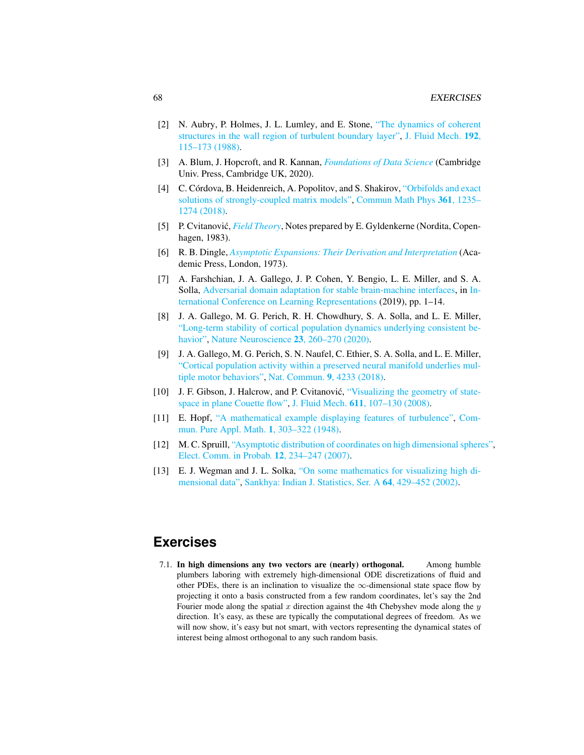- <span id="page-5-12"></span>[2] N. Aubry, P. Holmes, J. L. Lumley, and E. Stone, ["The dynamics of coherent](http://dx.doi.org/10.1017/S0022112088001818) [structures in the wall region of turbulent boundary layer",](http://dx.doi.org/10.1017/S0022112088001818) [J. Fluid Mech.](https://doi.org/10.1017/S0022112088001818) 192, [115–173 \(1988\).](https://doi.org/10.1017/S0022112088001818)
- <span id="page-5-9"></span>[3] A. Blum, J. Hopcroft, and R. Kannan, *[Foundations of Data Science](http://dx.doi.org/10.1017/9781108755528)* (Cambridge Univ. Press, Cambridge UK, 2020).
- <span id="page-5-2"></span>[4] C. Córdova, B. Heidenreich, A. Popolitov, and S. Shakirov, ["Orbifolds and exact](http://dx.doi.org/10.1007/s00220-017-3072-x) [solutions of strongly-coupled matrix models",](http://dx.doi.org/10.1007/s00220-017-3072-x) [Commun Math Phys](https://doi.org/10.1007/s00220-017-3072-x) 361, 1235– [1274 \(2018\).](https://doi.org/10.1007/s00220-017-3072-x)
- <span id="page-5-3"></span>[5] P. Cvitanovic,´ *[Field Theory](http://ChaosBook.org/FieldTheory)*, Notes prepared by E. Gyldenkerne (Nordita, Copenhagen, 1983).
- <span id="page-5-1"></span>[6] R. B. Dingle, *[Asymptotic Expansions: Their Derivation and Interpretation](http://dx.doi.org/10.2307/2005758)* (Academic Press, London, 1973).
- <span id="page-5-7"></span>[7] A. Farshchian, J. A. Gallego, J. P. Cohen, Y. Bengio, L. E. Miller, and S. A. Solla, [Adversarial domain adaptation for stable brain-machine interfaces,](https://openreview.net/forum?id=Hyx6Bi0qYm) in [In](https://openreview.net/forum?id=Hyx6Bi0qYm)[ternational Conference on Learning Representations](https://openreview.net/forum?id=Hyx6Bi0qYm) (2019), pp. 1–14.
- <span id="page-5-8"></span>[8] J. A. Gallego, M. G. Perich, R. H. Chowdhury, S. A. Solla, and L. E. Miller, ["Long-term stability of cortical population dynamics underlying consistent be](http://dx.doi.org/https://doi.org/10.1038/s41593-019-0555-4)[havior",](http://dx.doi.org/https://doi.org/10.1038/s41593-019-0555-4) [Nature Neuroscience](https://doi.org/https://doi.org/10.1038/s41593-019-0555-4) 23, 260–270 (2020).
- <span id="page-5-4"></span>[9] J. A. Gallego, M. G. Perich, S. N. Naufel, C. Ethier, S. A. Solla, and L. E. Miller, ["Cortical population activity within a preserved neural manifold underlies mul](http://dx.doi.org/10.1038/s41467-018-06560-z)[tiple motor behaviors",](http://dx.doi.org/10.1038/s41467-018-06560-z) [Nat. Commun.](https://doi.org/10.1038/s41467-018-06560-z) 9, 4233 (2018).
- <span id="page-5-11"></span>[10] J. F. Gibson, J. Halcrow, and P. Cvitanović, ["Visualizing the geometry of state](http://dx.doi.org/10.1017/S002211200800267X)[space in plane Couette flow",](http://dx.doi.org/10.1017/S002211200800267X) J. Fluid Mech. 611[, 107–130 \(2008\).](https://doi.org/10.1017/S002211200800267X)
- <span id="page-5-6"></span>[11] E. Hopf, ["A mathematical example displaying features of turbulence",](http://dx.doi.org/10.1002/cpa.3160010401) [Com](https://doi.org/10.1002/cpa.3160010401)[mun. Pure Appl. Math.](https://doi.org/10.1002/cpa.3160010401) 1, 303–322 (1948).
- <span id="page-5-5"></span>[12] M. C. Spruill, ["Asymptotic distribution of coordinates on high dimensional spheres",](http://dx.doi.org/10.1214/ecp.v12-1294) [Elect. Comm. in Probab.](https://doi.org/10.1214/ecp.v12-1294) 12, 234–247 (2007).
- <span id="page-5-10"></span>[13] E. J. Wegman and J. L. Solka, ["On some mathematics for visualizing high di](http://www.jstor.org/stable/25051404)[mensional data",](http://www.jstor.org/stable/25051404) [Sankhya: Indian J. Statistics, Ser. A](http://www.jstor.org/stable/25051404) 64, 429–452 (2002).

# **Exercises**

<span id="page-5-0"></span>7.1. In high dimensions any two vectors are (nearly) orthogonal. Among humble plumbers laboring with extremely high-dimensional ODE discretizations of fluid and other PDEs, there is an inclination to visualize the  $\infty$ -dimensional state space flow by projecting it onto a basis constructed from a few random coordinates, let's say the 2nd Fourier mode along the spatial x direction against the 4th Chebyshev mode along the  $y$ direction. It's easy, as these are typically the computational degrees of freedom. As we will now show, it's easy but not smart, with vectors representing the dynamical states of interest being almost orthogonal to any such random basis.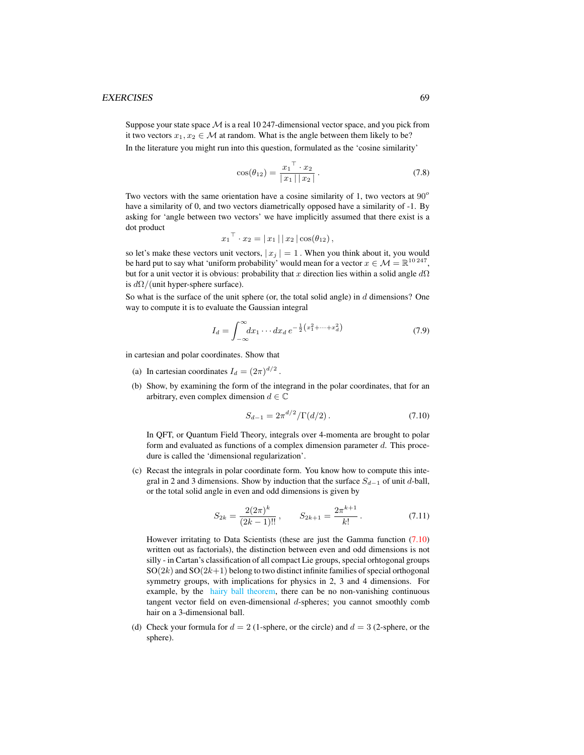Suppose your state space  $M$  is a real 10 247-dimensional vector space, and you pick from it two vectors  $x_1, x_2 \in \mathcal{M}$  at random. What is the angle between them likely to be?

In the literature you might run into this question, formulated as the 'cosine similarity'

$$
\cos(\theta_{12}) = \frac{{x_1}^\top \cdot x_2}{|x_1| \, |x_2|} \,. \tag{7.8}
$$

Two vectors with the same orientation have a cosine similarity of 1, two vectors at  $90^\circ$ have a similarity of 0, and two vectors diametrically opposed have a similarity of -1. By asking for 'angle between two vectors' we have implicitly assumed that there exist is a dot product

$$
x_1^\top \cdot x_2 = |x_1||x_2|\cos(\theta_{12}),
$$

so let's make these vectors unit vectors,  $|x_j| = 1$ . When you think about it, you would be hard put to say what 'uniform probability' would mean for a vector  $x \in \mathcal{M} = \mathbb{R}^{10\,247}$ , but for a unit vector it is obvious: probability that x direction lies within a solid angle  $d\Omega$ is  $d\Omega$ /(unit hyper-sphere surface).

So what is the surface of the unit sphere (or, the total solid angle) in d dimensions? One way to compute it is to evaluate the Gaussian integral

$$
I_d = \int_{-\infty}^{\infty} dx_1 \cdots dx_d \, e^{-\frac{1}{2} \left( x_1^2 + \cdots + x_d^2 \right)} \tag{7.9}
$$

in cartesian and polar coordinates. Show that

- (a) In cartesian coordinates  $I_d = (2\pi)^{d/2}$ .
- (b) Show, by examining the form of the integrand in the polar coordinates, that for an arbitrary, even complex dimension  $d \in \mathbb{C}$

<span id="page-6-0"></span>
$$
S_{d-1} = 2\pi^{d/2} / \Gamma(d/2). \tag{7.10}
$$

In QFT, or Quantum Field Theory, integrals over 4-momenta are brought to polar form and evaluated as functions of a complex dimension parameter d. This procedure is called the 'dimensional regularization'.

(c) Recast the integrals in polar coordinate form. You know how to compute this integral in 2 and 3 dimensions. Show by induction that the surface  $S_{d-1}$  of unit d-ball, or the total solid angle in even and odd dimensions is given by

$$
S_{2k} = \frac{2(2\pi)^k}{(2k-1)!!}, \qquad S_{2k+1} = \frac{2\pi^{k+1}}{k!}.
$$
 (7.11)

However irritating to Data Scientists (these are just the Gamma function [\(7.10\)](#page-6-0) written out as factorials), the distinction between even and odd dimensions is not silly - in Cartan's classification of all compact Lie groups, special orhtogonal groups  $SO(2k)$  and  $SO(2k+1)$  belong to two distinct infinite families of special orthogonal symmetry groups, with implications for physics in 2, 3 and 4 dimensions. For example, by the [hairy ball theorem,](http://www.newscientist.com/blogs/nstv/2011/12/one-minute-math-why-you-cant-comb-a-hairy-ball.html) there can be no non-vanishing continuous tangent vector field on even-dimensional d-spheres; you cannot smoothly comb hair on a 3-dimensional ball.

(d) Check your formula for  $d = 2$  (1-sphere, or the circle) and  $d = 3$  (2-sphere, or the sphere).